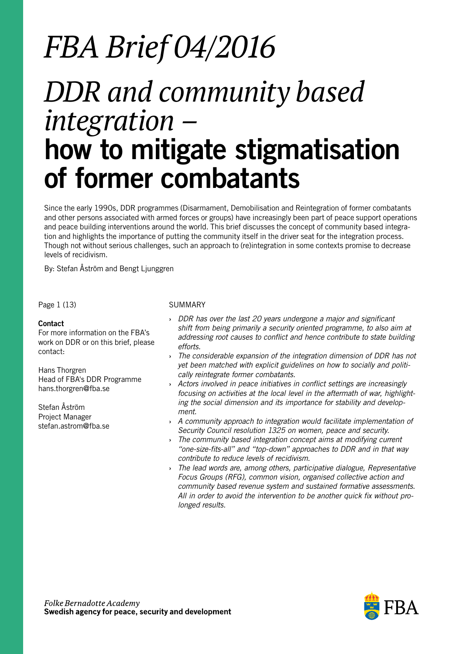# *FBA Brief 04/2016*

## *DDR and community based integration –* how to mitigate stigmatisation of former combatants

Since the early 1990s, DDR programmes (Disarmament, Demobilisation and Reintegration of former combatants and other persons associated with armed forces or groups) have increasingly been part of peace support operations and peace building interventions around the world. This brief discusses the concept of community based integration and highlights the importance of putting the community itself in the driver seat for the integration process. Though not without serious challenges, such an approach to (re)integration in some contexts promise to decrease levels of recidivism.

By: Stefan Åström and Bengt Ljunggren

Page 1 (13)

#### Contact

For more information on the FBA's work on DDR or on this brief, please contact:

Hans Thorgren Head of FBA's DDR Programme hans.thorgren@fba.se

Stefan Åström Project Manager stefan.astrom@fba.se

#### SUMMARY

- **›** *DDR has over the last 20 years undergone a major and significant shift from being primarily a security oriented programme, to also aim at addressing root causes to conflict and hence contribute to state building efforts.*
- **›** *The considerable expansion of the integration dimension of DDR has not yet been matched with explicit guidelines on how to socially and politically reintegrate former combatants.*
- **›** *Actors involved in peace initiatives in conflict settings are increasingly focusing on activities at the local level in the aftermath of war, highlighting the social dimension and its importance for stability and development.*
- **›** *A community approach to integration would facilitate implementation of Security Council resolution 1325 on women, peace and security.*
- **›** *The community based integration concept aims at modifying current "one-size-fits-all" and "top-down" approaches to DDR and in that way contribute to reduce levels of recidivism.*
- **›** *The lead words are, among others, participative dialogue, Representative Focus Groups (RFG), common vision, organised collective action and community based revenue system and sustained formative assessments. All in order to avoid the intervention to be another quick fix without prolonged results.*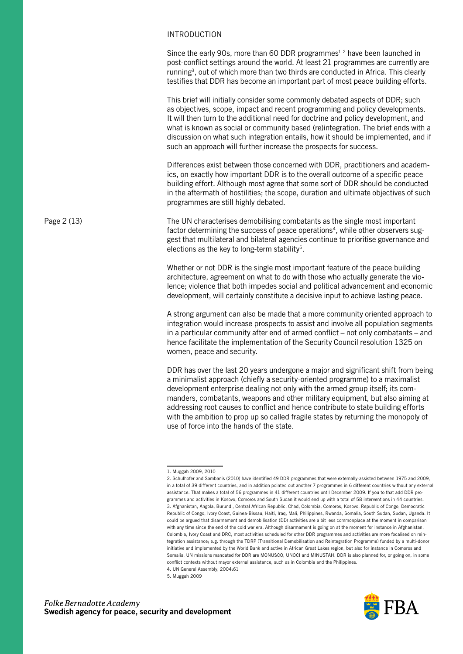#### INTRODUCTION

Since the early 90s, more than 60 DDR programmes<sup>1 2</sup> have been launched in post-conflict settings around the world. At least 21 programmes are currently are running<sup>3</sup>, out of which more than two thirds are conducted in Africa. This clearly testifies that DDR has become an important part of most peace building efforts.

This brief will initially consider some commonly debated aspects of DDR; such as objectives, scope, impact and recent programming and policy developments. It will then turn to the additional need for doctrine and policy development, and what is known as social or community based (re)integration. The brief ends with a discussion on what such integration entails, how it should be implemented, and if such an approach will further increase the prospects for success.

Differences exist between those concerned with DDR, practitioners and academics, on exactly how important DDR is to the overall outcome of a specific peace building effort. Although most agree that some sort of DDR should be conducted in the aftermath of hostilities; the scope, duration and ultimate objectives of such programmes are still highly debated.

The UN characterises demobilising combatants as the single most important factor determining the success of peace operations<sup>4</sup>, while other observers suggest that multilateral and bilateral agencies continue to prioritise governance and elections as the key to long-term stability<sup>5</sup>.

Whether or not DDR is the single most important feature of the peace building architecture, agreement on what to do with those who actually generate the violence; violence that both impedes social and political advancement and economic development, will certainly constitute a decisive input to achieve lasting peace.

A strong argument can also be made that a more community oriented approach to integration would increase prospects to assist and involve all population segments in a particular community after end of armed conflict – not only combatants – and hence facilitate the implementation of the Security Council resolution 1325 on women, peace and security.

DDR has over the last 20 years undergone a major and significant shift from being a minimalist approach (chiefly a security-oriented programme) to a maximalist development enterprise dealing not only with the armed group itself; its commanders, combatants, weapons and other military equipment, but also aiming at addressing root causes to conflict and hence contribute to state building efforts with the ambition to prop up so called fragile states by returning the monopoly of use of force into the hands of the state.



Page 2 (13)

<sup>1.</sup> Muggah 2009, 2010

<sup>2.</sup> Schulhofer and Sambanis (2010) have identified 49 DDR programmes that were externally-assisted between 1975 and 2009, in a total of 39 different countries, and in addition pointed out another 7 programmes in 6 different countries without any external assistance. That makes a total of 56 programmes in 41 different countries until December 2009. If you to that add DDR programmes and activities in Kosovo, Comoros and South Sudan it would end up with a total of 58 interventions in 44 countries. 3. Afghanistan, Angola, Burundi, Central African Republic, Chad, Colombia, Comoros, Kosovo, Republic of Congo, Democratic Republic of Congo, Ivory Coast, Guinea-Bissau, Haiti, Iraq, Mali, Philippines, Rwanda, Somalia, South Sudan, Sudan, Uganda. It could be argued that disarmament and demobilisation (DD) activities are a bit less commonplace at the moment in comparison with any time since the end of the cold war era. Although disarmament is going on at the moment for instance in Afghanistan, Colombia, Ivory Coast and DRC, most activities scheduled for other DDR programmes and activities are more focalised on reintegration assistance; e.g. through the TDRP (Transitional Demobilisation and Reintegration Programme) funded by a multi-donor initiative and implemented by the World Bank and active in African Great Lakes region, but also for instance in Comoros and Somalia. UN missions mandated for DDR are MONUSCO, UNOCI and MINUSTAH. DDR is also planned for, or going on, in some conflict contexts without mayor external assistance, such as in Colombia and the Philippines.

<sup>4.</sup> UN General Assembly, 2004:61

<sup>5.</sup> Muggah 2009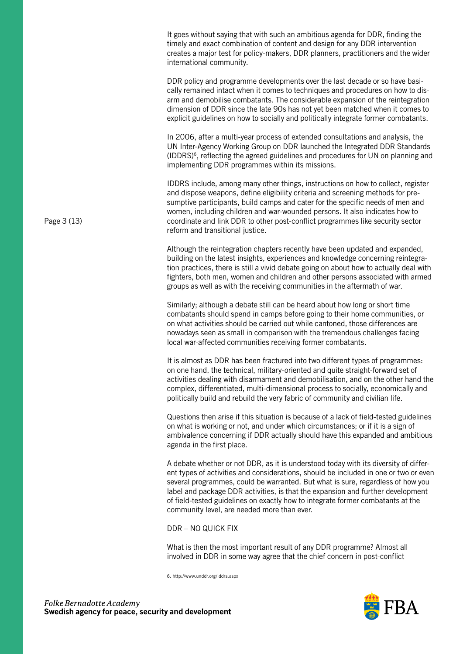It goes without saying that with such an ambitious agenda for DDR, finding the timely and exact combination of content and design for any DDR intervention creates a major test for policy-makers, DDR planners, practitioners and the wider international community.

DDR policy and programme developments over the last decade or so have basically remained intact when it comes to techniques and procedures on how to disarm and demobilise combatants. The considerable expansion of the reintegration dimension of DDR since the late 90s has not yet been matched when it comes to explicit guidelines on how to socially and politically integrate former combatants.

In 2006, after a multi-year process of extended consultations and analysis, the UN Inter-Agency Working Group on DDR launched the Integrated DDR Standards (IDDRS)6, reflecting the agreed guidelines and procedures for UN on planning and implementing DDR programmes within its missions.

IDDRS include, among many other things, instructions on how to collect, register and dispose weapons, define eligibility criteria and screening methods for presumptive participants, build camps and cater for the specific needs of men and women, including children and war-wounded persons. It also indicates how to coordinate and link DDR to other post-conflict programmes like security sector reform and transitional justice.

Although the reintegration chapters recently have been updated and expanded, building on the latest insights, experiences and knowledge concerning reintegration practices, there is still a vivid debate going on about how to actually deal with fighters, both men, women and children and other persons associated with armed groups as well as with the receiving communities in the aftermath of war.

Similarly; although a debate still can be heard about how long or short time combatants should spend in camps before going to their home communities, or on what activities should be carried out while cantoned, those differences are nowadays seen as small in comparison with the tremendous challenges facing local war-affected communities receiving former combatants.

It is almost as DDR has been fractured into two different types of programmes: on one hand, the technical, military-oriented and quite straight-forward set of activities dealing with disarmament and demobilisation, and on the other hand the complex, differentiated, multi-dimensional process to socially, economically and politically build and rebuild the very fabric of community and civilian life.

Questions then arise if this situation is because of a lack of field-tested guidelines on what is working or not, and under which circumstances; or if it is a sign of ambivalence concerning if DDR actually should have this expanded and ambitious agenda in the first place.

A debate whether or not DDR, as it is understood today with its diversity of different types of activities and considerations, should be included in one or two or even several programmes, could be warranted. But what is sure, regardless of how you label and package DDR activities, is that the expansion and further development of field-tested guidelines on exactly how to integrate former combatants at the community level, are needed more than ever.

### DDR – NO QUICK FIX

What is then the most important result of any DDR programme? Almost all involved in DDR in some way agree that the chief concern in post-conflict



Page 3 (13)

<sup>6.</sup> http://www.unddr.org/iddrs.aspx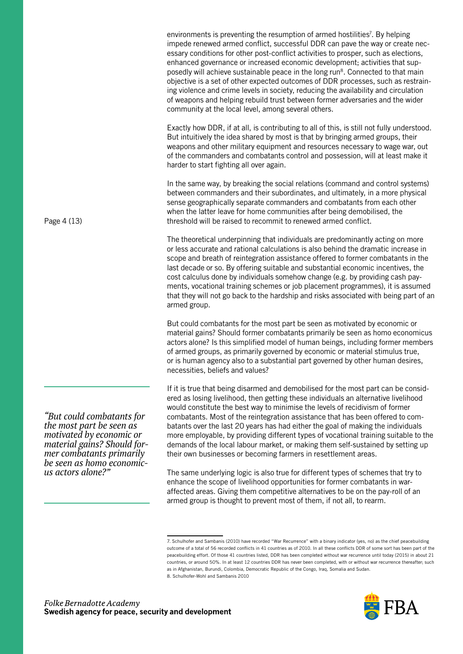environments is preventing the resumption of armed hostilities<sup>7</sup>. By helping impede renewed armed conflict, successful DDR can pave the way or create necessary conditions for other post-conflict activities to prosper, such as elections, enhanced governance or increased economic development; activities that supposedly will achieve sustainable peace in the long run<sup>8</sup>. Connected to that main objective is a set of other expected outcomes of DDR processes, such as restraining violence and crime levels in society, reducing the availability and circulation of weapons and helping rebuild trust between former adversaries and the wider community at the local level, among several others.

Exactly how DDR, if at all, is contributing to all of this, is still not fully understood. But intuitively the idea shared by most is that by bringing armed groups, their weapons and other military equipment and resources necessary to wage war, out of the commanders and combatants control and possession, will at least make it harder to start fighting all over again.

In the same way, by breaking the social relations (command and control systems) between commanders and their subordinates, and ultimately, in a more physical sense geographically separate commanders and combatants from each other when the latter leave for home communities after being demobilised, the threshold will be raised to recommit to renewed armed conflict.

The theoretical underpinning that individuals are predominantly acting on more or less accurate and rational calculations is also behind the dramatic increase in scope and breath of reintegration assistance offered to former combatants in the last decade or so. By offering suitable and substantial economic incentives, the cost calculus done by individuals somehow change (e.g. by providing cash payments, vocational training schemes or job placement programmes), it is assumed that they will not go back to the hardship and risks associated with being part of an armed group.

But could combatants for the most part be seen as motivated by economic or material gains? Should former combatants primarily be seen as homo economicus actors alone? Is this simplified model of human beings, including former members of armed groups, as primarily governed by economic or material stimulus true, or is human agency also to a substantial part governed by other human desires, necessities, beliefs and values?

If it is true that being disarmed and demobilised for the most part can be considered as losing livelihood, then getting these individuals an alternative livelihood would constitute the best way to minimise the levels of recidivism of former combatants. Most of the reintegration assistance that has been offered to combatants over the last 20 years has had either the goal of making the individuals more employable, by providing different types of vocational training suitable to the demands of the local labour market, or making them self-sustained by setting up their own businesses or becoming farmers in resettlement areas.

The same underlying logic is also true for different types of schemes that try to enhance the scope of livelihood opportunities for former combatants in waraffected areas. Giving them competitive alternatives to be on the pay-roll of an armed group is thought to prevent most of them, if not all, to rearm.

<sup>7.</sup> Schulhofer and Sambanis (2010) have recorded "War Recurrence" with a binary indicator (yes, no) as the chief peacebuilding outcome of a total of 56 recorded conflicts in 41 countries as of 2010. In all these conflicts DDR of some sort has been part of the peacebuilding effort. Of those 41 countries listed, DDR has been completed without war recurrence until today (2015) in about 21 countries, or around 50%. In at least 12 countries DDR has never been completed, with or without war recurrence thereafter; such as in Afghanistan, Burundi, Colombia, Democratic Republic of the Congo, Iraq, Somalia and Sudan. 8. Schulhofer-Wohl and Sambanis 2010



Page 4 (13)

*"But could combatants for the most part be seen as motivated by economic or material gains? Should for- mer combatants primarily be seen as homo economic- us actors alone?"*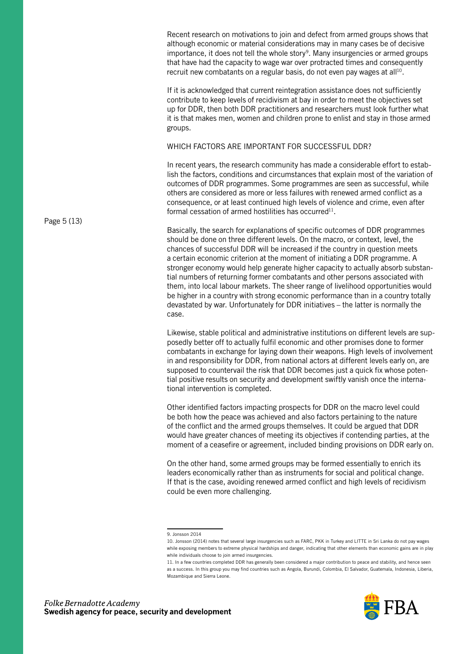Recent research on motivations to join and defect from armed groups shows that although economic or material considerations may in many cases be of decisive importance, it does not tell the whole story<sup>9</sup>. Many insurgencies or armed groups that have had the capacity to wage war over protracted times and consequently recruit new combatants on a regular basis, do not even pay wages at all<sup>10</sup>.

If it is acknowledged that current reintegration assistance does not sufficiently contribute to keep levels of recidivism at bay in order to meet the objectives set up for DDR, then both DDR practitioners and researchers must look further what it is that makes men, women and children prone to enlist and stay in those armed groups.

WHICH FACTORS ARE IMPORTANT FOR SUCCESSFUL DDR?

In recent years, the research community has made a considerable effort to establish the factors, conditions and circumstances that explain most of the variation of outcomes of DDR programmes. Some programmes are seen as successful, while others are considered as more or less failures with renewed armed conflict as a consequence, or at least continued high levels of violence and crime, even after formal cessation of armed hostilities has occurred<sup>11</sup>.

Basically, the search for explanations of specific outcomes of DDR programmes should be done on three different levels. On the macro, or context, level, the chances of successful DDR will be increased if the country in question meets a certain economic criterion at the moment of initiating a DDR programme. A stronger economy would help generate higher capacity to actually absorb substantial numbers of returning former combatants and other persons associated with them, into local labour markets. The sheer range of livelihood opportunities would be higher in a country with strong economic performance than in a country totally devastated by war. Unfortunately for DDR initiatives – the latter is normally the case.

Likewise, stable political and administrative institutions on different levels are supposedly better off to actually fulfil economic and other promises done to former combatants in exchange for laying down their weapons. High levels of involvement in and responsibility for DDR, from national actors at different levels early on, are supposed to countervail the risk that DDR becomes just a quick fix whose potential positive results on security and development swiftly vanish once the international intervention is completed.

Other identified factors impacting prospects for DDR on the macro level could be both how the peace was achieved and also factors pertaining to the nature of the conflict and the armed groups themselves. It could be argued that DDR would have greater chances of meeting its objectives if contending parties, at the moment of a ceasefire or agreement, included binding provisions on DDR early on.

On the other hand, some armed groups may be formed essentially to enrich its leaders economically rather than as instruments for social and political change. If that is the case, avoiding renewed armed conflict and high levels of recidivism could be even more challenging.

<sup>11.</sup> In a few countries completed DDR has generally been considered a major contribution to peace and stability, and hence seen as a success. In this group you may find countries such as Angola, Burundi, Colombia, El Salvador, Guatemala, Indonesia, Liberia, Mozambique and Sierra Leone.



Page 5 (13)

<sup>9.</sup> Jonsson 2014

<sup>10.</sup> Jonsson (2014) notes that several large insurgencies such as FARC, PKK in Turkey and LITTE in Sri Lanka do not pay wages while exposing members to extreme physical hardships and danger, indicating that other elements than economic gains are in play while individuals choose to join armed insurgencies.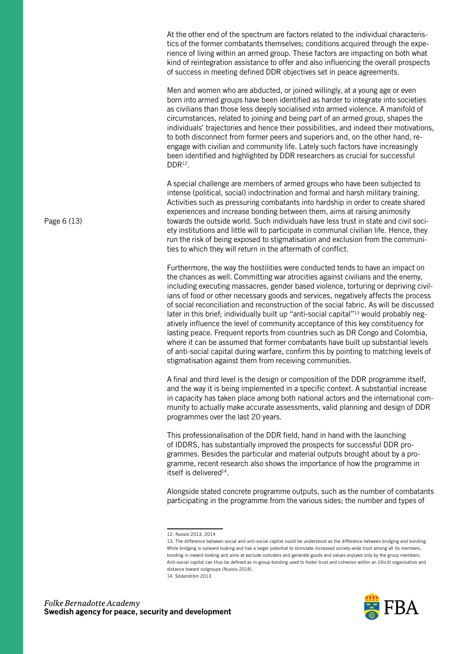At the other end of the spectrum are factors related to the individual characteristics of the former combatants themselves; conditions acquired through the experience of living within an armed group. These factors are impacting on both what kind of reintegration assistance to offer and also influencing the overall prospects of success in meeting defined DDR objectives set in peace agreements.

Men and women who are abducted, or joined willingly, at a young age or even born into armed groups have been identified as harder to integrate into societies as civilians than those less deeply socialised into armed violence. A manifold of circumstances, related to joining and being part of an armed group, shapes the individuals' trajectories and hence their possibilities, and indeed their motivations, to both disconnect from former peers and superiors and, on the other hand, reengage with civilian and community life. Lately such factors have increasingly been identified and highlighted by DDR researchers as crucial for successful DDR12.

A special challenge are members of armed groups who have been subjected to intense (political, social) indoctrination and formal and harsh military training. Activities such as pressuring combatants into hardship in order to create shared experiences and increase bonding between them, aims at raising animosity towards the outside world. Such individuals have less trust in state and civil society institutions and little will to participate in communal civilian life. Hence, they run the risk of being exposed to stigmatisation and exclusion from the communities to which they will return in the aftermath of conflict.

Furthermore, the way the hostilities were conducted tends to have an impact on the chances as well. Committing war atrocities against civilians and the enemy, including executing massacres, gender based violence, torturing or depriving civilians of food or other necessary goods and services, negatively affects the process of social reconciliation and reconstruction of the social fabric. As will be discussed later in this brief; individually built up "anti-social capital"<sup>13</sup> would probably negatively influence the level of community acceptance of this key constituency for lasting peace. Frequent reports from countries such as DR Congo and Colombia, where it can be assumed that former combatants have built up substantial levels of anti-social capital during warfare, confirm this by pointing to matching levels of stigmatisation against them from receiving communities.

A final and third level is the design or composition of the DDR programme itself, and the way it is being implemented in a specific context. A substantial increase in capacity has taken place among both national actors and the international community to actually make accurate assessments, valid planning and design of DDR programmes over the last 20 years.

This professionalisation of the DDR field, hand in hand with the launching of IDDRS, has substantially improved the prospects for successful DDR programmes. Besides the particular and material outputs brought about by a programme, recent research also shows the importance of how the programme in itself is delivered<sup>14</sup>.

Alongside stated concrete programme outputs, such as the number of combatants participating in the programme from the various sides; the number and types of

<sup>14.</sup> Söderström 2013





Page 6 (13)

<sup>12.</sup> Nussio 2013, 2014

<sup>13.</sup> The difference between social and anti-social capital could be understood as the difference between bridging and bonding. While bridging is outward looking and has a larger potential to stimulate increased society-wide trust among all its members, bonding is inward-looking and aims at exclude outsiders and generate goods and values enjoyed only by the group members. Anti-social capital can thus be defined as in-group bonding used to foster trust and cohesion within an (illicit) organisation and distance toward outgroups (Nussio 2014).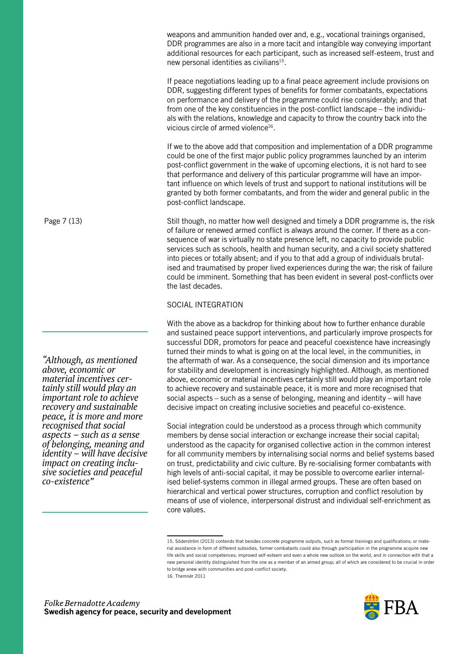weapons and ammunition handed over and, e.g., vocational trainings organised, DDR programmes are also in a more tacit and intangible way conveying important additional resources for each participant, such as increased self-esteem, trust and new personal identities as civilians<sup>15</sup>.

If peace negotiations leading up to a final peace agreement include provisions on DDR, suggesting different types of benefits for former combatants, expectations on performance and delivery of the programme could rise considerably; and that from one of the key constituencies in the post-conflict landscape – the individuals with the relations, knowledge and capacity to throw the country back into the vicious circle of armed violence<sup>16</sup>.

If we to the above add that composition and implementation of a DDR programme could be one of the first major public policy programmes launched by an interim post-conflict government in the wake of upcoming elections, it is not hard to see that performance and delivery of this particular programme will have an important influence on which levels of trust and support to national institutions will be granted by both former combatants, and from the wider and general public in the post-conflict landscape.

Still though, no matter how well designed and timely a DDR programme is, the risk of failure or renewed armed conflict is always around the corner. If there as a consequence of war is virtually no state presence left, no capacity to provide public services such as schools, health and human security, and a civil society shattered into pieces or totally absent; and if you to that add a group of individuals brutalised and traumatised by proper lived experiences during the war; the risk of failure could be imminent. Something that has been evident in several post-conflicts over the last decades.

#### SOCIAL INTEGRATION

With the above as a backdrop for thinking about how to further enhance durable and sustained peace support interventions, and particularly improve prospects for successful DDR, promotors for peace and peaceful coexistence have increasingly turned their minds to what is going on at the local level, in the communities, in the aftermath of war. As a consequence, the social dimension and its importance for stability and development is increasingly highlighted. Although, as mentioned above, economic or material incentives certainly still would play an important role to achieve recovery and sustainable peace, it is more and more recognised that social aspects – such as a sense of belonging, meaning and identity – will have decisive impact on creating inclusive societies and peaceful co-existence.

Social integration could be understood as a process through which community members by dense social interaction or exchange increase their social capital; understood as the capacity for organised collective action in the common interest for all community members by internalising social norms and belief systems based on trust, predictability and civic culture. By re-socialising former combatants with high levels of anti-social capital, it may be possible to overcome earlier internalised belief-systems common in illegal armed groups. These are often based on hierarchical and vertical power structures, corruption and conflict resolution by means of use of violence, interpersonal distrust and individual self-enrichment as core values.

<sup>15.</sup> Söderström (2013) contends that besides concrete programme outputs, such as formal trainings and qualifications; or material assistance in form of different subsidies, former combatants could also through participation in the programme acquire new life skills and social competences; improved self-esteem and even a whole new outlook on the world, and in connection with that a new personal identity distinguished from the one as a member of an armed group; all of which are considered to be crucial in order to bridge anew with communities and post-conflict society. 16. Themnér 2011



Page 7 (13)

*"Although, as mentioned above, economic or material incentives cer- tainly still would play an important role to achieve recovery and sustainable peace, it is more and more recognised that social aspects – such as a sense of belonging, meaning and identity – will have decisive impact on creating inclu- sive societies and peaceful co-existence"*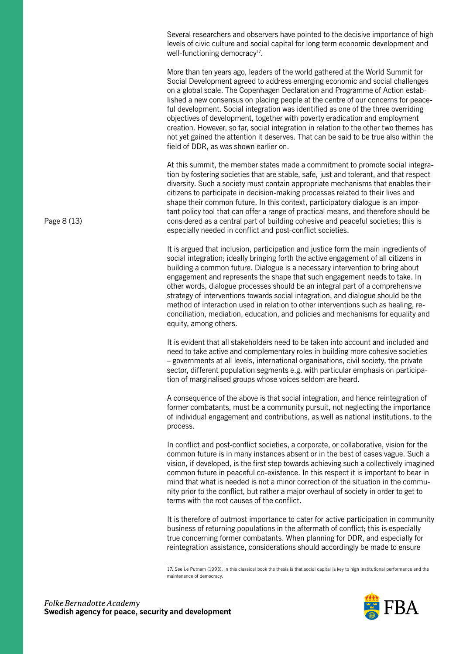Several researchers and observers have pointed to the decisive importance of high levels of civic culture and social capital for long term economic development and well-functioning democracy<sup>17</sup>.

More than ten years ago, leaders of the world gathered at the World Summit for Social Development agreed to address emerging economic and social challenges on a global scale. The Copenhagen Declaration and Programme of Action established a new consensus on placing people at the centre of our concerns for peaceful development. Social integration was identified as one of the three overriding objectives of development, together with poverty eradication and employment creation. However, so far, social integration in relation to the other two themes has not yet gained the attention it deserves. That can be said to be true also within the field of DDR, as was shown earlier on.

At this summit, the member states made a commitment to promote social integration by fostering societies that are stable, safe, just and tolerant, and that respect diversity. Such a society must contain appropriate mechanisms that enables their citizens to participate in decision-making processes related to their lives and shape their common future. In this context, participatory dialogue is an important policy tool that can offer a range of practical means, and therefore should be considered as a central part of building cohesive and peaceful societies; this is especially needed in conflict and post-conflict societies.

It is argued that inclusion, participation and justice form the main ingredients of social integration; ideally bringing forth the active engagement of all citizens in building a common future. Dialogue is a necessary intervention to bring about engagement and represents the shape that such engagement needs to take. In other words, dialogue processes should be an integral part of a comprehensive strategy of interventions towards social integration, and dialogue should be the method of interaction used in relation to other interventions such as healing, reconciliation, mediation, education, and policies and mechanisms for equality and equity, among others.

It is evident that all stakeholders need to be taken into account and included and need to take active and complementary roles in building more cohesive societies – governments at all levels, international organisations, civil society, the private sector, different population segments e.g. with particular emphasis on participation of marginalised groups whose voices seldom are heard.

A consequence of the above is that social integration, and hence reintegration of former combatants, must be a community pursuit, not neglecting the importance of individual engagement and contributions, as well as national institutions, to the process.

In conflict and post-conflict societies, a corporate, or collaborative, vision for the common future is in many instances absent or in the best of cases vague. Such a vision, if developed, is the first step towards achieving such a collectively imagined common future in peaceful co-existence. In this respect it is important to bear in mind that what is needed is not a minor correction of the situation in the community prior to the conflict, but rather a major overhaul of society in order to get to terms with the root causes of the conflict.

It is therefore of outmost importance to cater for active participation in community business of returning populations in the aftermath of conflict; this is especially true concerning former combatants. When planning for DDR, and especially for reintegration assistance, considerations should accordingly be made to ensure

<sup>17.</sup> See i.e Putnam (1993). In this classical book the thesis is that social capital is key to high institutional performance and the maintenance of democracy.



Page 8 (13)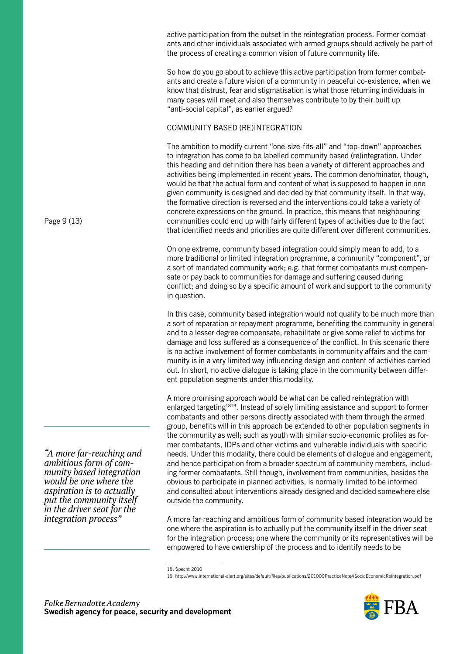active participation from the outset in the reintegration process. Former combatants and other individuals associated with armed groups should actively be part of the process of creating a common vision of future community life.

So how do you go about to achieve this active participation from former combatants and create a future vision of a community in peaceful co-existence, when we know that distrust, fear and stigmatisation is what those returning individuals in many cases will meet and also themselves contribute to by their built up "anti-social capital", as earlier argued?

### COMMUNITY BASED (RE)INTEGRATION

The ambition to modify current "one-size-fits-all" and "top-down" approaches to integration has come to be labelled community based (re)integration. Under this heading and definition there has been a variety of different approaches and activities being implemented in recent years. The common denominator, though, would be that the actual form and content of what is supposed to happen in one given community is designed and decided by that community itself. In that way, the formative direction is reversed and the interventions could take a variety of concrete expressions on the ground. In practice, this means that neighbouring communities could end up with fairly different types of activities due to the fact that identified needs and priorities are quite different over different communities.

On one extreme, community based integration could simply mean to add, to a more traditional or limited integration programme, a community "component", or a sort of mandated community work; e.g. that former combatants must compensate or pay back to communities for damage and suffering caused during conflict; and doing so by a specific amount of work and support to the community in question.

In this case, community based integration would not qualify to be much more than a sort of reparation or repayment programme, benefiting the community in general and to a lesser degree compensate, rehabilitate or give some relief to victims for damage and loss suffered as a consequence of the conflict. In this scenario there is no active involvement of former combatants in community affairs and the community is in a very limited way influencing design and content of activities carried out. In short, no active dialogue is taking place in the community between different population segments under this modality.

A more promising approach would be what can be called reintegration with enlarged targeting<sup>1819</sup>. Instead of solely limiting assistance and support to former combatants and other persons directly associated with them through the armed group, benefits will in this approach be extended to other population segments in the community as well; such as youth with similar socio-economic profiles as former combatants, IDPs and other victims and vulnerable individuals with specific needs. Under this modality, there could be elements of dialogue and engagement, and hence participation from a broader spectrum of community members, including former combatants. Still though, involvement from communities, besides the obvious to participate in planned activities, is normally limited to be informed and consulted about interventions already designed and decided somewhere else outside the community.

A more far-reaching and ambitious form of community based integration would be one where the aspiration is to actually put the community itself in the driver seat for the integration process; one where the community or its representatives will be empowered to have ownership of the process and to identify needs to be

<sup>19.</sup> http://www.international-alert.org/sites/default/files/publications/201009PracticeNote4SocioEconomicReintegration.pdf



Page 9 (13)

*"A more far-reaching and ambitious form of community based integration would be one where the aspiration is to actually put the community itself in the driver seat for the integration process"* 

<sup>18.</sup> Specht 2010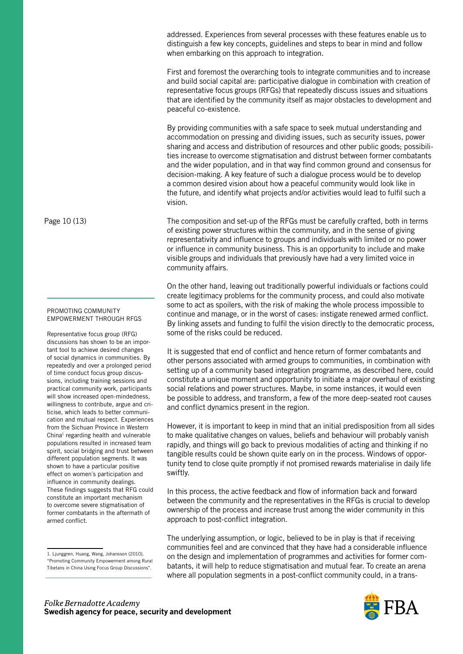addressed. Experiences from several processes with these features enable us to distinguish a few key concepts, guidelines and steps to bear in mind and follow when embarking on this approach to integration.

First and foremost the overarching tools to integrate communities and to increase and build social capital are: participative dialogue in combination with creation of representative focus groups (RFGs) that repeatedly discuss issues and situations that are identified by the community itself as major obstacles to development and peaceful co-existence.

By providing communities with a safe space to seek mutual understanding and accommodation on pressing and dividing issues, such as security issues, power sharing and access and distribution of resources and other public goods; possibilities increase to overcome stigmatisation and distrust between former combatants and the wider population, and in that way find common ground and consensus for decision-making. A key feature of such a dialogue process would be to develop a common desired vision about how a peaceful community would look like in the future, and identify what projects and/or activities would lead to fulfil such a vision.

The composition and set-up of the RFGs must be carefully crafted, both in terms of existing power structures within the community, and in the sense of giving representativity and influence to groups and individuals with limited or no power or influence in community business. This is an opportunity to include and make visible groups and individuals that previously have had a very limited voice in community affairs.

On the other hand, leaving out traditionally powerful individuals or factions could create legitimacy problems for the community process, and could also motivate some to act as spoilers, with the risk of making the whole process impossible to continue and manage, or in the worst of cases: instigate renewed armed conflict. By linking assets and funding to fulfil the vision directly to the democratic process, some of the risks could be reduced.

It is suggested that end of conflict and hence return of former combatants and other persons associated with armed groups to communities, in combination with setting up of a community based integration programme, as described here, could constitute a unique moment and opportunity to initiate a major overhaul of existing social relations and power structures. Maybe, in some instances, it would even be possible to address, and transform, a few of the more deep-seated root causes and conflict dynamics present in the region.

However, it is important to keep in mind that an initial predisposition from all sides to make qualitative changes on values, beliefs and behaviour will probably vanish rapidly, and things will go back to previous modalities of acting and thinking if no tangible results could be shown quite early on in the process. Windows of opportunity tend to close quite promptly if not promised rewards materialise in daily life swiftly.

In this process, the active feedback and flow of information back and forward between the community and the representatives in the RFGs is crucial to develop ownership of the process and increase trust among the wider community in this approach to post-conflict integration.

The underlying assumption, or logic, believed to be in play is that if receiving communities feel and are convinced that they have had a considerable influence on the design and implementation of programmes and activities for former combatants, it will help to reduce stigmatisation and mutual fear. To create an arena where all population segments in a post-conflict community could, in a trans-



Page 10 (13)

#### PROMOTING COMMUNITY EMPOWERMENT THROUGH RFGS

Representative focus group (RFG) discussions has shown to be an important tool to achieve desired changes of social dynamics in communities. By repeatedly and over a prolonged period of time conduct focus group discussions, including training sessions and practical community work, participants will show increased open-mindedness, willingness to contribute, argue and criticise, which leads to better communication and mutual respect. Experiences from the Sichuan Province in Western China<sup>1</sup> regarding health and vulnerable populations resulted in increased team spirit, social bridging and trust between different population segments. It was shown to have a particular positive effect on women´s participation and influence in community dealings. These findings suggests that RFG could constitute an important mechanism to overcome severe stigmatisation of former combatants in the aftermath of armed conflict.

<sup>1.</sup> Ljunggren, Huang, Wang, Johansson (2010), "Promoting Community Empowerment among Rural Tibetans in China Using Focus Group Discussions".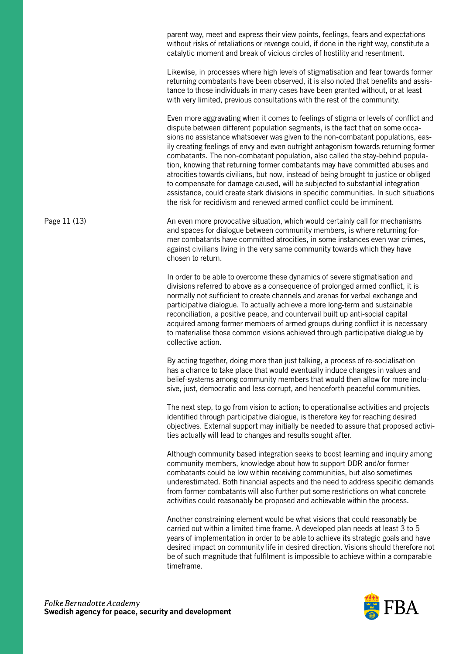parent way, meet and express their view points, feelings, fears and expectations without risks of retaliations or revenge could, if done in the right way, constitute a catalytic moment and break of vicious circles of hostility and resentment.

Likewise, in processes where high levels of stigmatisation and fear towards former returning combatants have been observed, it is also noted that benefits and assistance to those individuals in many cases have been granted without, or at least with very limited, previous consultations with the rest of the community.

Even more aggravating when it comes to feelings of stigma or levels of conflict and dispute between different population segments, is the fact that on some occasions no assistance whatsoever was given to the non-combatant populations, easily creating feelings of envy and even outright antagonism towards returning former combatants. The non-combatant population, also called the stay-behind population, knowing that returning former combatants may have committed abuses and atrocities towards civilians, but now, instead of being brought to justice or obliged to compensate for damage caused, will be subjected to substantial integration assistance, could create stark divisions in specific communities. In such situations the risk for recidivism and renewed armed conflict could be imminent.

An even more provocative situation, which would certainly call for mechanisms and spaces for dialogue between community members, is where returning former combatants have committed atrocities, in some instances even war crimes, against civilians living in the very same community towards which they have chosen to return. Page 11 (13)

> In order to be able to overcome these dynamics of severe stigmatisation and divisions referred to above as a consequence of prolonged armed conflict, it is normally not sufficient to create channels and arenas for verbal exchange and participative dialogue. To actually achieve a more long-term and sustainable reconciliation, a positive peace, and countervail built up anti-social capital acquired among former members of armed groups during conflict it is necessary to materialise those common visions achieved through participative dialogue by collective action.

> By acting together, doing more than just talking, a process of re-socialisation has a chance to take place that would eventually induce changes in values and belief-systems among community members that would then allow for more inclusive, just, democratic and less corrupt, and henceforth peaceful communities.

The next step, to go from vision to action; to operationalise activities and projects identified through participative dialogue, is therefore key for reaching desired objectives. External support may initially be needed to assure that proposed activities actually will lead to changes and results sought after.

Although community based integration seeks to boost learning and inquiry among community members, knowledge about how to support DDR and/or former combatants could be low within receiving communities, but also sometimes underestimated. Both financial aspects and the need to address specific demands from former combatants will also further put some restrictions on what concrete activities could reasonably be proposed and achievable within the process.

Another constraining element would be what visions that could reasonably be carried out within a limited time frame. A developed plan needs at least 3 to 5 years of implementation in order to be able to achieve its strategic goals and have desired impact on community life in desired direction. Visions should therefore not be of such magnitude that fulfilment is impossible to achieve within a comparable timeframe.

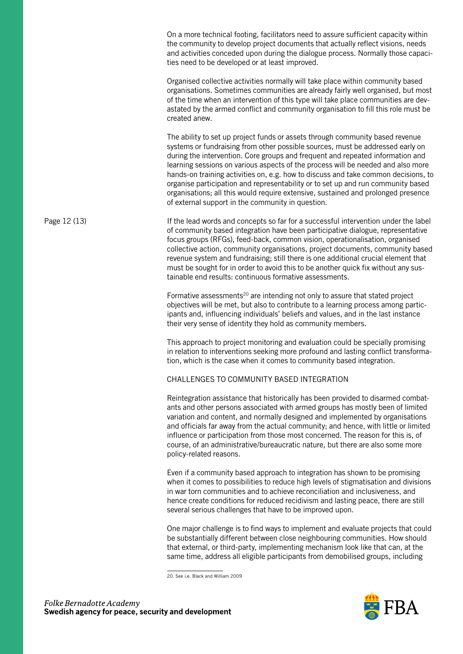On a more technical footing, facilitators need to assure sufficient capacity within the community to develop project documents that actually reflect visions, needs and activities conceded upon during the dialogue process. Normally those capacities need to be developed or at least improved.

Organised collective activities normally will take place within community based organisations. Sometimes communities are already fairly well organised, but most of the time when an intervention of this type will take place communities are devastated by the armed conflict and community organisation to fill this role must be created anew.

The ability to set up project funds or assets through community based revenue systems or fundraising from other possible sources, must be addressed early on during the intervention. Core groups and frequent and repeated information and learning sessions on various aspects of the process will be needed and also more hands-on training activities on, e.g. how to discuss and take common decisions, to organise participation and representability or to set up and run community based organisations; all this would require extensive, sustained and prolonged presence of external support in the community in question.

If the lead words and concepts so far for a successful intervention under the label of community based integration have been participative dialogue, representative focus groups (RFGs), feed-back, common vision, operationalisation, organised collective action, community organisations, project documents, community based revenue system and fundraising; still there is one additional crucial element that must be sought for in order to avoid this to be another quick fix without any sustainable end results: continuous formative assessments. Page 12 (13)

> Formative assessments<sup>20</sup> are intending not only to assure that stated project objectives will be met, but also to contribute to a learning process among participants and, influencing individuals' beliefs and values, and in the last instance their very sense of identity they hold as community members.

This approach to project monitoring and evaluation could be specially promising in relation to interventions seeking more profound and lasting conflict transformation, which is the case when it comes to community based integration.

CHALLENGES TO COMMUNITY BASED INTEGRATION

Reintegration assistance that historically has been provided to disarmed combatants and other persons associated with armed groups has mostly been of limited variation and content, and normally designed and implemented by organisations and officials far away from the actual community; and hence, with little or limited influence or participation from those most concerned. The reason for this is, of course, of an administrative/bureaucratic nature, but there are also some more policy-related reasons.

Even if a community based approach to integration has shown to be promising when it comes to possibilities to reduce high levels of stigmatisation and divisions in war torn communities and to achieve reconciliation and inclusiveness, and hence create conditions for reduced recidivism and lasting peace, there are still several serious challenges that have to be improved upon.

One major challenge is to find ways to implement and evaluate projects that could be substantially different between close neighbouring communities. How should that external, or third-party, implementing mechanism look like that can, at the same time, address all eligible participants from demobilised groups, including



<sup>20.</sup> See i.e. Black and William 2009